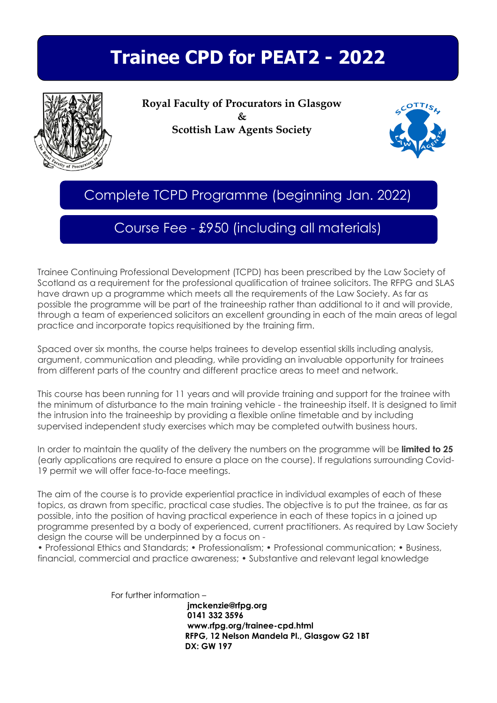# **Trainee CPD for PEAT2 - 2022**



**Royal Faculty of Procurators in Glasgow & Scottish Law Agents Society** 



Complete TCPD Programme (beginning Jan. 2022)

### Course Fee - £950 (including all materials)

Trainee Continuing Professional Development (TCPD) has been prescribed by the Law Society of Scotland as a requirement for the professional qualification of trainee solicitors. The RFPG and SLAS have drawn up a programme which meets all the requirements of the Law Society. As far as possible the programme will be part of the traineeship rather than additional to it and will provide, through a team of experienced solicitors an excellent grounding in each of the main areas of legal practice and incorporate topics requisitioned by the training firm.

Spaced over six months, the course helps trainees to develop essential skills including analysis, argument, communication and pleading, while providing an invaluable opportunity for trainees from different parts of the country and different practice areas to meet and network.

This course has been running for 11 years and will provide training and support for the trainee with the minimum of disturbance to the main training vehicle - the traineeship itself. It is designed to limit the intrusion into the traineeship by providing a flexible online timetable and by including supervised independent study exercises which may be completed outwith business hours.

In order to maintain the quality of the delivery the numbers on the programme will be **limited to 25** (early applications are required to ensure a place on the course). If regulations surrounding Covid-19 permit we will offer face-to-face meetings.

The aim of the course is to provide experiential practice in individual examples of each of these topics, as drawn from specific, practical case studies. The objective is to put the trainee, as far as possible, into the position of having practical experience in each of these topics in a joined up programme presented by a body of experienced, current practitioners. As required by Law Society design the course will be underpinned by a focus on -

• Professional Ethics and Standards; • Professionalism; • Professional communication; • Business, financial, commercial and practice awareness; • Substantive and relevant legal knowledge

For further information –

 **[jmckenzie@rfpg.org](mailto:jmckenzie@rfpg.org) 0141 332 3596 [www.rfpg.org/](http://www.rfpg.org/)trainee-cpd.html RFPG, 12 Nelson Mandela Pl., Glasgow G2 1BT DX: GW 197**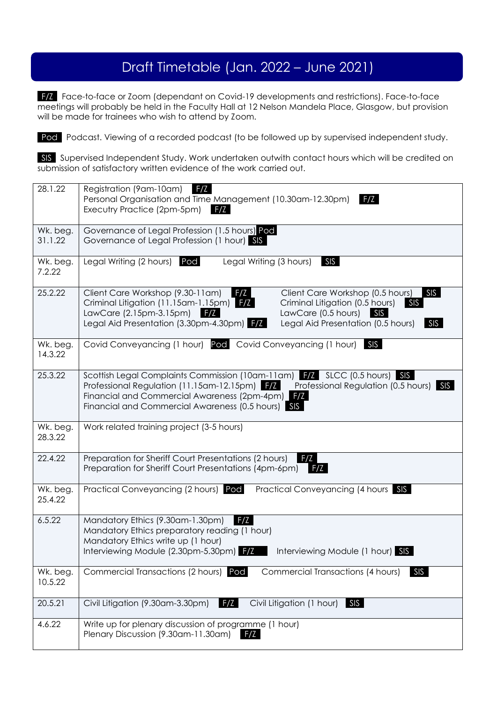## Draft Timetable (Jan. 2022 – June 2021)

F/Z Face-to-face or Zoom (dependant on Covid-19 developments and restrictions). Face-to-face meetings will probably be held in the Faculty Hall at 12 Nelson Mandela Place, Glasgow, but provision will be made for trainees who wish to attend by Zoom.

Pod Podcast. Viewing of a recorded podcast (to be followed up by supervised independent study.

SIS Supervised Independent Study. Work undertaken outwith contact hours which will be credited on submission of satisfactory written evidence of the work carried out.

| 28.1.22             | F/Z<br>Registration (9am-10am)                                                                                                                                      |  |
|---------------------|---------------------------------------------------------------------------------------------------------------------------------------------------------------------|--|
|                     | Personal Organisation and Time Management (10.30am-12.30pm)<br>F/Z<br>Executry Practice (2pm-5pm) F/Z                                                               |  |
|                     |                                                                                                                                                                     |  |
| Wk. beg.<br>31.1.22 | Governance of Legal Profession (1.5 hours) Pod<br>Governance of Legal Profession (1 hour) SIS                                                                       |  |
|                     |                                                                                                                                                                     |  |
| Wk. beg.            | Legal Writing (2 hours)<br>Pod<br>Legal Writing (3 hours)<br><b>SIS</b>                                                                                             |  |
| 7.2.22              |                                                                                                                                                                     |  |
| 25.2.22             | Client Care Workshop (9.30-11am)<br>SIS<br>F/Z<br>Client Care Workshop (0.5 hours)                                                                                  |  |
|                     | Criminal Litigation (11.15am-1.15pm) F/Z<br>Criminal Litigation (0.5 hours)<br>SIS<br>LawCare (2.15pm-3.15pm)<br>LawCare (0.5 hours)<br>F/Z<br>SIS                  |  |
|                     | Legal Aid Presentation (3.30pm-4.30pm) F/Z<br>Legal Aid Presentation (0.5 hours)<br>SIS                                                                             |  |
|                     |                                                                                                                                                                     |  |
| Wk. beg.<br>14.3.22 | Covid Conveyancing (1 hour) Pod Covid Conveyancing (1 hour)<br>SIS                                                                                                  |  |
|                     |                                                                                                                                                                     |  |
| 25.3.22             | Scottish Legal Complaints Commission (10am-11am) 77 SLCC (0.5 hours) SIS<br>Professional Regulation (11.15am-12.15pm) FZ<br>Professional Regulation (0.5 hours) SIS |  |
|                     | Financial and Commercial Awareness (2pm-4pm) F/Z                                                                                                                    |  |
|                     | Financial and Commercial Awareness (0.5 hours) SIS                                                                                                                  |  |
| Wk. beg.            | Work related training project (3-5 hours)                                                                                                                           |  |
| 28.3.22             |                                                                                                                                                                     |  |
| 22.4.22             | F/Z                                                                                                                                                                 |  |
|                     | Preparation for Sheriff Court Presentations (2 hours)<br>Preparation for Sheriff Court Presentations (4pm-6pm)<br>F/Z                                               |  |
|                     |                                                                                                                                                                     |  |
| Wk. beg.<br>25.4.22 | Practical Conveyancing (2 hours) Pod<br>Practical Conveyancing (4 hours SIS                                                                                         |  |
|                     |                                                                                                                                                                     |  |
| 6.5.22              | Mandatory Ethics (9.30am-1.30pm)<br>F/Z                                                                                                                             |  |
|                     | Mandatory Ethics preparatory reading (1 hour)<br>Mandatory Ethics write up (1 hour)                                                                                 |  |
|                     | Interviewing Module (2.30pm-5.30pm) F/Z<br>Interviewing Module (1 hour) SIS                                                                                         |  |
|                     |                                                                                                                                                                     |  |
| Wk. beg.<br>10.5.22 | Commercial Transactions (2 hours) Pod<br>Commercial Transactions (4 hours)<br>SIS                                                                                   |  |
|                     |                                                                                                                                                                     |  |
| 20.5.21             | F/Z<br>Civil Litigation (9.30am-3.30pm)<br>Civil Litigation (1 hour)<br>SIS                                                                                         |  |
| 4.6.22              | Write up for plenary discussion of programme (1 hour)                                                                                                               |  |
|                     | Plenary Discussion (9.30am-11.30am)                                                                                                                                 |  |